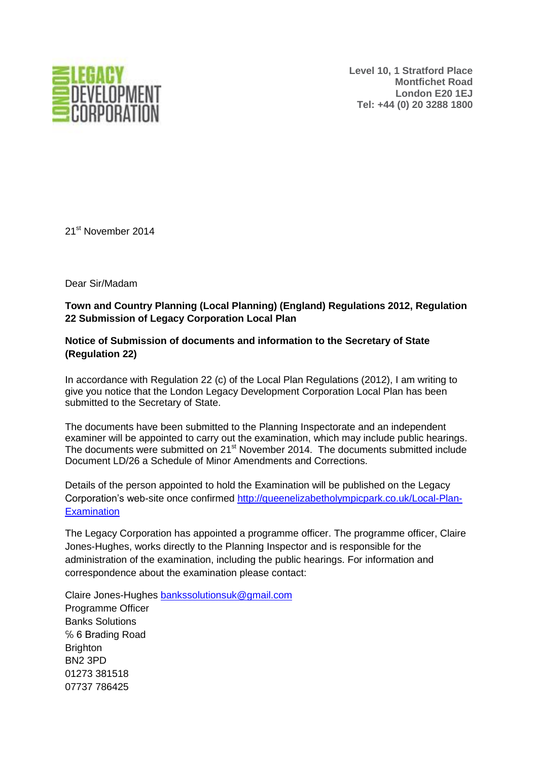

**Level 10, 1 Stratford Place Montfichet Road London E20 1EJ Tel: +44 (0) 20 3288 1800**

21<sup>st</sup> November 2014

Dear Sir/Madam

## **Town and Country Planning (Local Planning) (England) Regulations 2012, Regulation 22 Submission of Legacy Corporation Local Plan**

## **Notice of Submission of documents and information to the Secretary of State (Regulation 22)**

In accordance with Regulation 22 (c) of the Local Plan Regulations (2012), I am writing to give you notice that the London Legacy Development Corporation Local Plan has been submitted to the Secretary of State.

The documents have been submitted to the Planning Inspectorate and an independent examiner will be appointed to carry out the examination, which may include public hearings. The documents were submitted on 21<sup>st</sup> November 2014. The documents submitted include Document LD/26 a Schedule of Minor Amendments and Corrections.

Details of the person appointed to hold the Examination will be published on the Legacy Corporation's web-site once confirmed [http://queenelizabetholympicpark.co.uk/Local-Plan-](http://queenelizabetholympicpark.co.uk/Local-Plan-Examination)**[Examination](http://queenelizabetholympicpark.co.uk/Local-Plan-Examination)** 

The Legacy Corporation has appointed a programme officer. The programme officer, Claire Jones-Hughes, works directly to the Planning Inspector and is responsible for the administration of the examination, including the public hearings. For information and correspondence about the examination please contact:

Claire Jones-Hughes [bankssolutionsuk@gmail.com](mailto:bankssolutionsuk@gmail.com)

Programme Officer Banks Solutions ℅ 6 Brading Road **Brighton** BN2 3PD 01273 381518 07737 786425